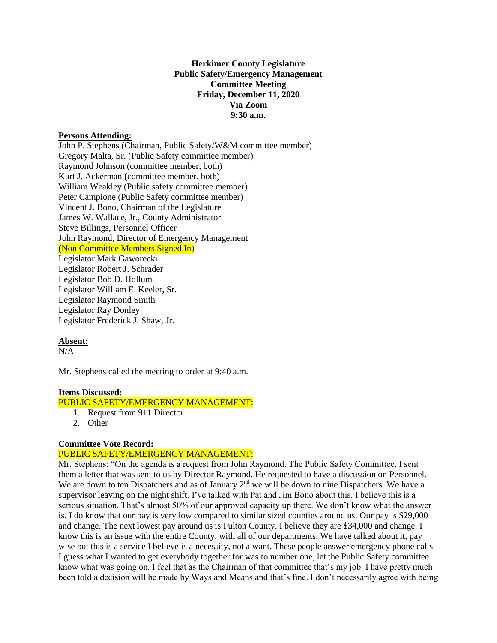### **Herkimer County Legislature Public Safety/Emergency Management Committee Meeting Friday, December 11, 2020 Via Zoom 9:30 a.m.**

#### **Persons Attending:**

John P. Stephens (Chairman, Public Safety/W&M committee member) Gregory Malta, Sr. (Public Safety committee member) Raymond Johnson (committee member, both) Kurt J. Ackerman (committee member, both) William Weakley (Public safety committee member) Peter Campione (Public Safety committee member) Vincent J. Bono, Chairman of the Legislature James W. Wallace, Jr., County Administrator Steve Billings, Personnel Officer John Raymond, Director of Emergency Management (Non Committee Members Signed In) Legislator Mark Gaworecki Legislator Robert J. Schrader Legislator Bob D. Hollum Legislator William E. Keeler, Sr. Legislator Raymond Smith Legislator Ray Donley

Legislator Frederick J. Shaw, Jr.

# **Absent:**

N/A

Mr. Stephens called the meeting to order at 9:40 a.m.

#### **Items Discussed:**

# PUBLIC SAFETY/EMERGENCY MANAGEMENT:

- 1. Request from 911 Director
- 2. Other

### **Committee Vote Record:**

#### PUBLIC SAFETY/EMERGENCY MANAGEMENT:

Mr. Stephens: "On the agenda is a request from John Raymond. The Public Safety Committee, I sent them a letter that was sent to us by Director Raymond. He requested to have a discussion on Personnel. We are down to ten Dispatchers and as of January  $2<sup>nd</sup>$  we will be down to nine Dispatchers. We have a supervisor leaving on the night shift. I've talked with Pat and Jim Bono about this. I believe this is a serious situation. That's almost 50% of our approved capacity up there. We don't know what the answer is. I do know that our pay is very low compared to similar sized counties around us. Our pay is \$29,000 and change. The next lowest pay around us is Fulton County. I believe they are \$34,000 and change. I know this is an issue with the entire County, with all of our departments. We have talked about it, pay wise but this is a service I believe is a necessity, not a want. These people answer emergency phone calls. I guess what I wanted to get everybody together for was to number one, let the Public Safety committee know what was going on. I feel that as the Chairman of that committee that's my job. I have pretty much been told a decision will be made by Ways and Means and that's fine. I don't necessarily agree with being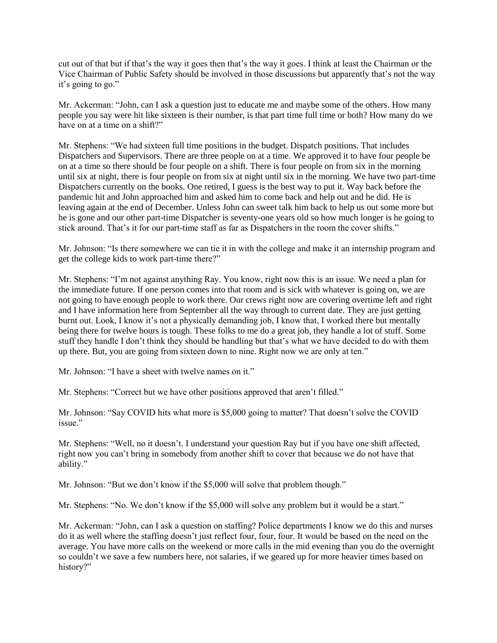cut out of that but if that's the way it goes then that's the way it goes. I think at least the Chairman or the Vice Chairman of Public Safety should be involved in those discussions but apparently that's not the way it's going to go."

Mr. Ackerman: "John, can I ask a question just to educate me and maybe some of the others. How many people you say were hit like sixteen is their number, is that part time full time or both? How many do we have on at a time on a shift?"

Mr. Stephens: "We had sixteen full time positions in the budget. Dispatch positions. That includes Dispatchers and Supervisors. There are three people on at a time. We approved it to have four people be on at a time so there should be four people on a shift. There is four people on from six in the morning until six at night, there is four people on from six at night until six in the morning. We have two part-time Dispatchers currently on the books. One retired, I guess is the best way to put it. Way back before the pandemic hit and John approached him and asked him to come back and help out and he did. He is leaving again at the end of December. Unless John can sweet talk him back to help us out some more but he is gone and our other part-time Dispatcher is seventy-one years old so how much longer is he going to stick around. That's it for our part-time staff as far as Dispatchers in the room the cover shifts."

Mr. Johnson: "Is there somewhere we can tie it in with the college and make it an internship program and get the college kids to work part-time there?"

Mr. Stephens: "I'm not against anything Ray. You know, right now this is an issue. We need a plan for the immediate future. If one person comes into that room and is sick with whatever is going on, we are not going to have enough people to work there. Our crews right now are covering overtime left and right and I have information here from September all the way through to current date. They are just getting burnt out. Look, I know it's not a physically demanding job, I know that, I worked there but mentally being there for twelve hours is tough. These folks to me do a great job, they handle a lot of stuff. Some stuff they handle I don't think they should be handling but that's what we have decided to do with them up there. But, you are going from sixteen down to nine. Right now we are only at ten."

Mr. Johnson: "I have a sheet with twelve names on it."

Mr. Stephens: "Correct but we have other positions approved that aren't filled."

Mr. Johnson: "Say COVID hits what more is \$5,000 going to matter? That doesn't solve the COVID issue."

Mr. Stephens: "Well, no it doesn't. I understand your question Ray but if you have one shift affected, right now you can't bring in somebody from another shift to cover that because we do not have that ability."

Mr. Johnson: "But we don't know if the \$5,000 will solve that problem though."

Mr. Stephens: "No. We don't know if the \$5,000 will solve any problem but it would be a start."

Mr. Ackerman: "John, can I ask a question on staffing? Police departments I know we do this and nurses do it as well where the staffing doesn't just reflect four, four, four. It would be based on the need on the average. You have more calls on the weekend or more calls in the mid evening than you do the overnight so couldn't we save a few numbers here, not salaries, if we geared up for more heavier times based on history?"